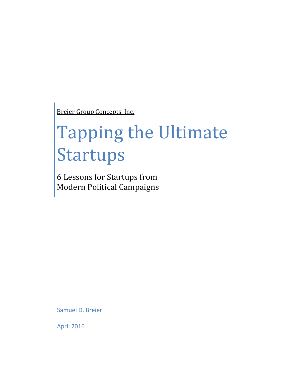Breier Group Concepts, Inc.

# Tapping the Ultimate Startups

6 Lessons for Startups from Modern Political Campaigns

Samuel D. Breier

April 2016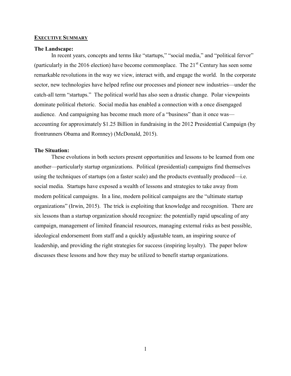## EXECUTIVE SUMMARY

## The Landscape:

In recent years, concepts and terms like "startups," "social media," and "political fervor" (particularly in the 2016 election) have become commonplace. The  $21<sup>st</sup>$  Century has seen some remarkable revolutions in the way we view, interact with, and engage the world. In the corporate sector, new technologies have helped refine our processes and pioneer new industries—under the catch-all term "startups." The political world has also seen a drastic change. Polar viewpoints dominate political rhetoric. Social media has enabled a connection with a once disengaged audience. And campaigning has become much more of a "business" than it once was accounting for approximately \$1.25 Billion in fundraising in the 2012 Presidential Campaign (by frontrunners Obama and Romney) (McDonald, 2015).

## The Situation:

These evolutions in both sectors present opportunities and lessons to be learned from one another—particularly startup organizations. Political (presidential) campaigns find themselves using the techniques of startups (on a faster scale) and the products eventually produced—i.e. social media. Startups have exposed a wealth of lessons and strategies to take away from modern political campaigns. In a line, modern political campaigns are the "ultimate startup organizations" (Irwin, 2015). The trick is exploiting that knowledge and recognition. There are six lessons than a startup organization should recognize: the potentially rapid upscaling of any campaign, management of limited financial resources, managing external risks as best possible, ideological endorsement from staff and a quickly adjustable team, an inspiring source of leadership, and providing the right strategies for success (inspiring loyalty). The paper below discusses these lessons and how they may be utilized to benefit startup organizations.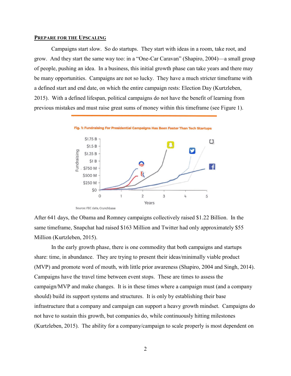## PREPARE FOR THE UPSCALING

Campaigns start slow. So do startups. They start with ideas in a room, take root, and grow. And they start the same way too: in a "One-Car Caravan" (Shapiro, 2004)—a small group of people, pushing an idea. In a business, this initial growth phase can take years and there may be many opportunities. Campaigns are not so lucky. They have a much stricter timeframe with a defined start and end date, on which the entire campaign rests: Election Day (Kurtzleben, 2015). With a defined lifespan, political campaigns do not have the benefit of learning from previous mistakes and must raise great sums of money within this timeframe (see Figure 1).



After 641 days, the Obama and Romney campaigns collectively raised \$1.22 Billion. In the same timeframe, Snapchat had raised \$163 Million and Twitter had only approximately \$55 Million (Kurtzleben, 2015).

In the early growth phase, there is one commodity that both campaigns and startups share: time, in abundance. They are trying to present their ideas/minimally viable product (MVP) and promote word of mouth, with little prior awareness (Shapiro, 2004 and Singh, 2014). Campaigns have the travel time between event stops. These are times to assess the campaign/MVP and make changes. It is in these times where a campaign must (and a company should) build its support systems and structures. It is only by establishing their base infrastructure that a company and campaign can support a heavy growth mindset. Campaigns do not have to sustain this growth, but companies do, while continuously hitting milestones (Kurtzleben, 2015). The ability for a company/campaign to scale properly is most dependent on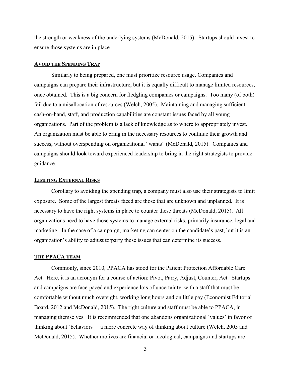the strength or weakness of the underlying systems (McDonald, 2015). Startups should invest to ensure those systems are in place.

## AVOID THE SPENDING TRAP

Similarly to being prepared, one must prioritize resource usage. Companies and campaigns can prepare their infrastructure, but it is equally difficult to manage limited resources, once obtained. This is a big concern for fledgling companies or campaigns. Too many (of both) fail due to a misallocation of resources (Welch, 2005). Maintaining and managing sufficient cash-on-hand, staff, and production capabilities are constant issues faced by all young organizations. Part of the problem is a lack of knowledge as to where to appropriately invest. An organization must be able to bring in the necessary resources to continue their growth and success, without overspending on organizational "wants" (McDonald, 2015). Companies and campaigns should look toward experienced leadership to bring in the right strategists to provide guidance.

# **LIMITING EXTERNAL RISKS**

Corollary to avoiding the spending trap, a company must also use their strategists to limit exposure. Some of the largest threats faced are those that are unknown and unplanned. It is necessary to have the right systems in place to counter these threats (McDonald, 2015). All organizations need to have those systems to manage external risks, primarily insurance, legal and marketing. In the case of a campaign, marketing can center on the candidate's past, but it is an organization's ability to adjust to/parry these issues that can determine its success.

## THE PPACA TEAM

Commonly, since 2010, PPACA has stood for the Patient Protection Affordable Care Act. Here, it is an acronym for a course of action: Pivot, Parry, Adjust, Counter, Act. Startups and campaigns are face-paced and experience lots of uncertainty, with a staff that must be comfortable without much oversight, working long hours and on little pay (Economist Editorial Board, 2012 and McDonald, 2015). The right culture and staff must be able to PPACA, in managing themselves. It is recommended that one abandons organizational 'values' in favor of thinking about 'behaviors'—a more concrete way of thinking about culture (Welch, 2005 and McDonald, 2015). Whether motives are financial or ideological, campaigns and startups are

3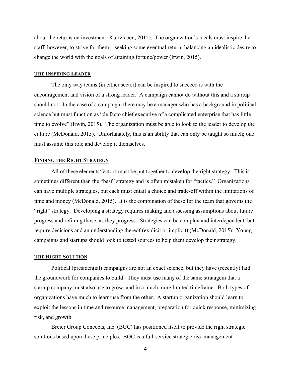about the returns on investment (Kurtzleben, 2015). The organization's ideals must inspire the staff, however, to strive for them—seeking some eventual return; balancing an idealistic desire to change the world with the goals of attaining fortune/power (Irwin, 2015).

## THE INSPIRING LEADER

The only way teams (in either sector) can be inspired to succeed is with the encouragement and vision of a strong leader. A campaign cannot do without this and a startup should not. In the case of a campaign, there may be a manager who has a background in political science but must function as "de facto chief executive of a complicated enterprise that has little time to evolve" (Irwin, 2015). The organization must be able to look to the leader to develop the culture (McDonald, 2015). Unfortunately, this is an ability that can only be taught so much; one must assume this role and develop it themselves.

## FINDING THE RIGHT STRATEGY

All of these elements/factors must be put together to develop the right strategy. This is sometimes different than the "best" strategy and is often mistaken for "tactics." Organizations can have multiple strategies, but each must entail a choice and trade-off within the limitations of time and money (McDonald, 2015). It is the combination of these for the team that governs the "right" strategy. Developing a strategy requires making and assessing assumptions about future progress and refining those, as they progress. Strategies can be complex and interdependent, but require decisions and an understanding thereof (explicit or implicit) (McDonald, 2015). Young campaigns and startups should look to tested sources to help them develop their strategy.

#### THE RIGHT SOLUTION

Political (presidential) campaigns are not an exact science, but they have (recently) laid the groundwork for companies to build. They must use many of the same stratagem that a startup company must also use to grow, and in a much more limited timeframe. Both types of organizations have much to learn/use from the other. A startup organization should learn to exploit the lessons in time and resource management, preparation for quick response, minimizing risk, and growth.

Breier Group Concepts, Inc. (BGC) has positioned itself to provide the right strategic solutions based upon these principles. BGC is a full-service strategic risk management

4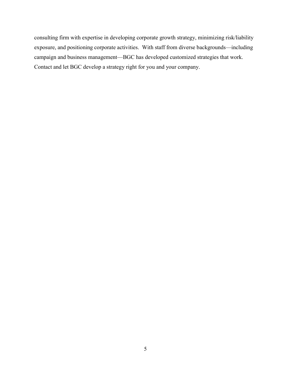consulting firm with expertise in developing corporate growth strategy, minimizing risk/liability exposure, and positioning corporate activities. With staff from diverse backgrounds—including campaign and business management—BGC has developed customized strategies that work. Contact and let BGC develop a strategy right for you and your company.